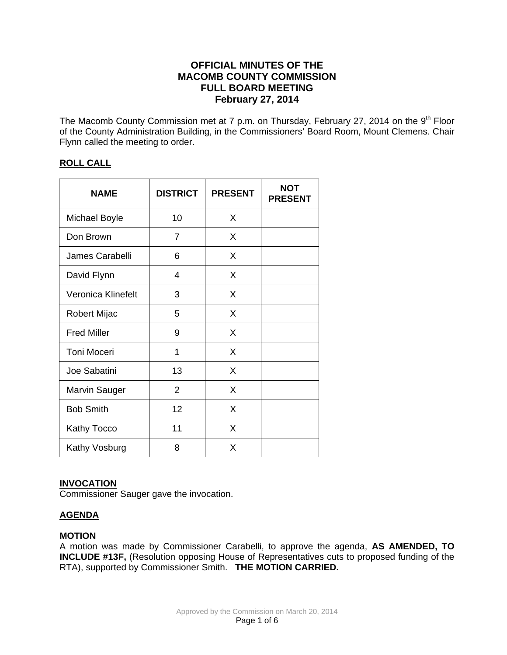# **OFFICIAL MINUTES OF THE MACOMB COUNTY COMMISSION FULL BOARD MEETING February 27, 2014**

The Macomb County Commission met at 7 p.m. on Thursday, February 27, 2014 on the 9<sup>th</sup> Floor of the County Administration Building, in the Commissioners' Board Room, Mount Clemens. Chair Flynn called the meeting to order.

# **ROLL CALL**

| <b>NAME</b>         | <b>DISTRICT</b> | <b>PRESENT</b> | <b>NOT</b><br><b>PRESENT</b> |
|---------------------|-----------------|----------------|------------------------------|
| Michael Boyle       | 10              | X              |                              |
| Don Brown           | 7               | X              |                              |
| James Carabelli     | 6               | X              |                              |
| David Flynn         | 4               | X              |                              |
| Veronica Klinefelt  | 3               | X              |                              |
| <b>Robert Mijac</b> | 5               | X              |                              |
| <b>Fred Miller</b>  | 9               | X              |                              |
| <b>Toni Moceri</b>  | 1               | X              |                              |
| Joe Sabatini        | 13              | X              |                              |
| Marvin Sauger       | $\overline{2}$  | X              |                              |
| <b>Bob Smith</b>    | 12              | X              |                              |
| Kathy Tocco         | 11              | X              |                              |
| Kathy Vosburg       | 8               | X              |                              |

## **INVOCATION**

Commissioner Sauger gave the invocation.

# **AGENDA**

## **MOTION**

A motion was made by Commissioner Carabelli, to approve the agenda, **AS AMENDED, TO INCLUDE #13F,** (Resolution opposing House of Representatives cuts to proposed funding of the RTA), supported by Commissioner Smith. **THE MOTION CARRIED.**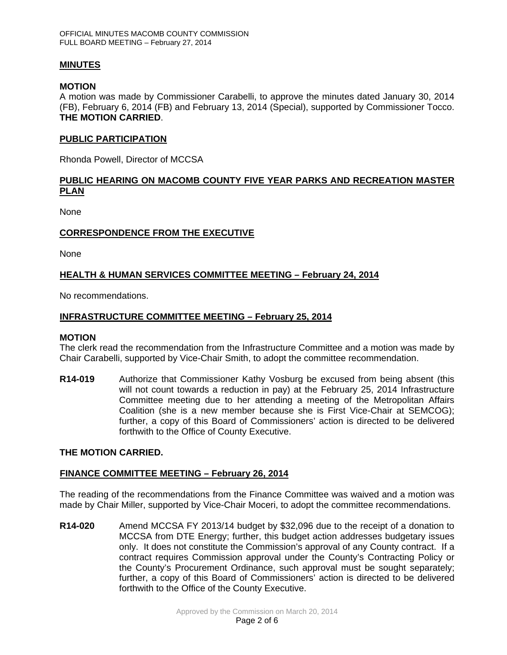### **MINUTES**

### **MOTION**

A motion was made by Commissioner Carabelli, to approve the minutes dated January 30, 2014 (FB), February 6, 2014 (FB) and February 13, 2014 (Special), supported by Commissioner Tocco. **THE MOTION CARRIED**.

#### **PUBLIC PARTICIPATION**

Rhonda Powell, Director of MCCSA

## **PUBLIC HEARING ON MACOMB COUNTY FIVE YEAR PARKS AND RECREATION MASTER PLAN**

None

### **CORRESPONDENCE FROM THE EXECUTIVE**

None

## **HEALTH & HUMAN SERVICES COMMITTEE MEETING – February 24, 2014**

No recommendations.

### **INFRASTRUCTURE COMMITTEE MEETING – February 25, 2014**

#### **MOTION**

The clerk read the recommendation from the Infrastructure Committee and a motion was made by Chair Carabelli, supported by Vice-Chair Smith, to adopt the committee recommendation.

**R14-019** Authorize that Commissioner Kathy Vosburg be excused from being absent (this will not count towards a reduction in pay) at the February 25, 2014 Infrastructure Committee meeting due to her attending a meeting of the Metropolitan Affairs Coalition (she is a new member because she is First Vice-Chair at SEMCOG); further, a copy of this Board of Commissioners' action is directed to be delivered forthwith to the Office of County Executive.

#### **THE MOTION CARRIED.**

#### **FINANCE COMMITTEE MEETING – February 26, 2014**

The reading of the recommendations from the Finance Committee was waived and a motion was made by Chair Miller, supported by Vice-Chair Moceri, to adopt the committee recommendations.

**R14-020** Amend MCCSA FY 2013/14 budget by \$32,096 due to the receipt of a donation to MCCSA from DTE Energy; further, this budget action addresses budgetary issues only. It does not constitute the Commission's approval of any County contract. If a contract requires Commission approval under the County's Contracting Policy or the County's Procurement Ordinance, such approval must be sought separately; further, a copy of this Board of Commissioners' action is directed to be delivered forthwith to the Office of the County Executive.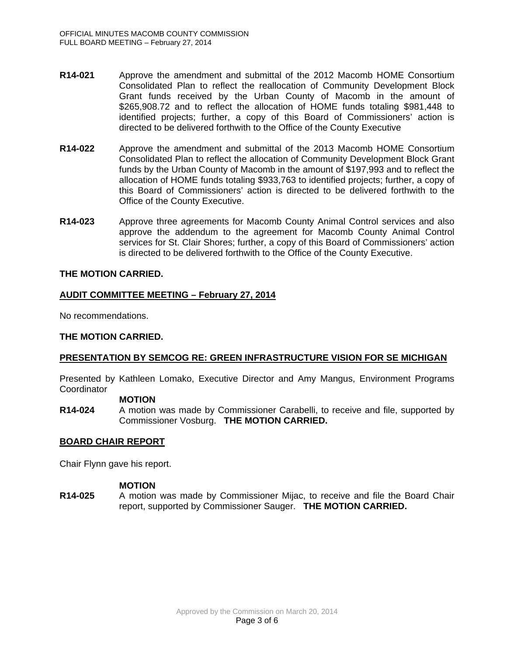- **R14-021** Approve the amendment and submittal of the 2012 Macomb HOME Consortium Consolidated Plan to reflect the reallocation of Community Development Block Grant funds received by the Urban County of Macomb in the amount of \$265,908.72 and to reflect the allocation of HOME funds totaling \$981,448 to identified projects; further, a copy of this Board of Commissioners' action is directed to be delivered forthwith to the Office of the County Executive
- **R14-022** Approve the amendment and submittal of the 2013 Macomb HOME Consortium Consolidated Plan to reflect the allocation of Community Development Block Grant funds by the Urban County of Macomb in the amount of \$197,993 and to reflect the allocation of HOME funds totaling \$933,763 to identified projects; further, a copy of this Board of Commissioners' action is directed to be delivered forthwith to the Office of the County Executive.
- **R14-023** Approve three agreements for Macomb County Animal Control services and also approve the addendum to the agreement for Macomb County Animal Control services for St. Clair Shores; further, a copy of this Board of Commissioners' action is directed to be delivered forthwith to the Office of the County Executive.

### **THE MOTION CARRIED.**

## **AUDIT COMMITTEE MEETING – February 27, 2014**

No recommendations.

## **THE MOTION CARRIED.**

## **PRESENTATION BY SEMCOG RE: GREEN INFRASTRUCTURE VISION FOR SE MICHIGAN**

Presented by Kathleen Lomako, Executive Director and Amy Mangus, Environment Programs **Coordinator** 

#### **MOTION**

**R14-024** A motion was made by Commissioner Carabelli, to receive and file, supported by Commissioner Vosburg. **THE MOTION CARRIED.**

#### **BOARD CHAIR REPORT**

Chair Flynn gave his report.

#### **MOTION**

**R14-025** A motion was made by Commissioner Mijac, to receive and file the Board Chair report, supported by Commissioner Sauger. **THE MOTION CARRIED.**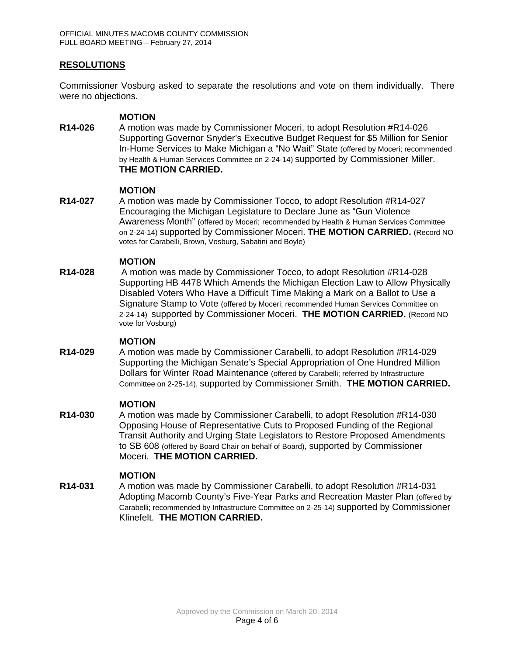# **RESOLUTIONS**

Commissioner Vosburg asked to separate the resolutions and vote on them individually. There were no objections.

### **MOTION**

**R14-026** A motion was made by Commissioner Moceri, to adopt Resolution #R14-026 Supporting Governor Snyder's Executive Budget Request for \$5 Million for Senior In-Home Services to Make Michigan a "No Wait" State (offered by Moceri; recommended by Health & Human Services Committee on 2-24-14) supported by Commissioner Miller. **THE MOTION CARRIED.**

#### **MOTION**

**R14-027** A motion was made by Commissioner Tocco, to adopt Resolution #R14-027 Encouraging the Michigan Legislature to Declare June as "Gun Violence Awareness Month" (offered by Moceri; recommended by Health & Human Services Committee on 2-24-14) supported by Commissioner Moceri. **THE MOTION CARRIED.** (Record NO votes for Carabelli, Brown, Vosburg, Sabatini and Boyle)

### **MOTION**

**R14-028** A motion was made by Commissioner Tocco, to adopt Resolution #R14-028 Supporting HB 4478 Which Amends the Michigan Election Law to Allow Physically Disabled Voters Who Have a Difficult Time Making a Mark on a Ballot to Use a Signature Stamp to Vote (offered by Moceri; recommended Human Services Committee on 2-24-14) supported by Commissioner Moceri. **THE MOTION CARRIED.** (Record NO vote for Vosburg)

#### **MOTION**

**R14-029** A motion was made by Commissioner Carabelli, to adopt Resolution #R14-029 Supporting the Michigan Senate's Special Appropriation of One Hundred Million Dollars for Winter Road Maintenance (offered by Carabelli; referred by Infrastructure Committee on 2-25-14), supported by Commissioner Smith. **THE MOTION CARRIED.**

#### **MOTION**

**R14-030** A motion was made by Commissioner Carabelli, to adopt Resolution #R14-030 Opposing House of Representative Cuts to Proposed Funding of the Regional Transit Authority and Urging State Legislators to Restore Proposed Amendments to SB 608 (offered by Board Chair on behalf of Board), supported by Commissioner Moceri. **THE MOTION CARRIED.**

## **MOTION**

**R14-031** A motion was made by Commissioner Carabelli, to adopt Resolution #R14-031 Adopting Macomb County's Five-Year Parks and Recreation Master Plan (offered by Carabelli; recommended by Infrastructure Committee on 2-25-14) supported by Commissioner Klinefelt. **THE MOTION CARRIED.**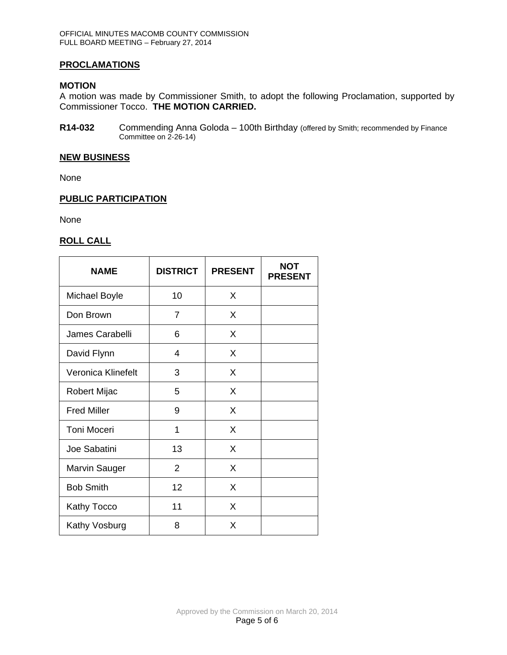## **PROCLAMATIONS**

### **MOTION**

A motion was made by Commissioner Smith, to adopt the following Proclamation, supported by Commissioner Tocco. **THE MOTION CARRIED.**

**R14-032** Commending Anna Goloda – 100th Birthday (offered by Smith; recommended by Finance Committee on 2-26-14)

#### **NEW BUSINESS**

None

### **PUBLIC PARTICIPATION**

None

### **ROLL CALL**

| <b>NAME</b>          | <b>DISTRICT</b> | <b>PRESENT</b> | <b>NOT</b><br><b>PRESENT</b> |
|----------------------|-----------------|----------------|------------------------------|
| <b>Michael Boyle</b> | 10              | X              |                              |
| Don Brown            | $\overline{7}$  | X              |                              |
| James Carabelli      | 6               | X              |                              |
| David Flynn          | 4               | X              |                              |
| Veronica Klinefelt   | 3               | X              |                              |
| Robert Mijac         | 5               | X              |                              |
| <b>Fred Miller</b>   | 9               | X              |                              |
| <b>Toni Moceri</b>   | 1               | X              |                              |
| Joe Sabatini         | 13              | X              |                              |
| <b>Marvin Sauger</b> | $\overline{2}$  | X              |                              |
| <b>Bob Smith</b>     | 12              | X              |                              |
| <b>Kathy Tocco</b>   | 11              | X              |                              |
| Kathy Vosburg        | 8               | X              |                              |